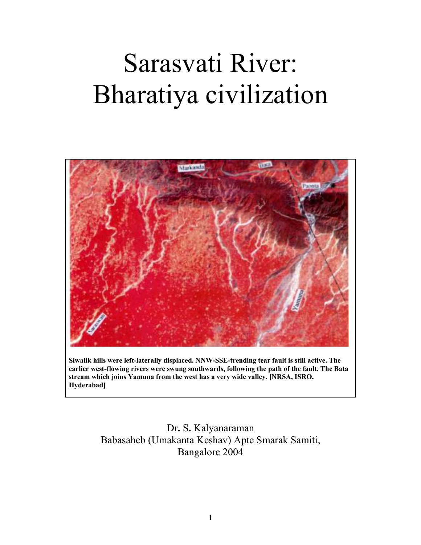# Sarasvati River: Bharatiya civilization



Siwalik hills were left-laterally displaced. NNW-SSE-trending tear fault is still active. The earlier west-flowing rivers were swung southwards, following the path of the fault. The Bata stream which joins Yamuna from the west has a very wide valley. [NRSA, ISRO, Hyderabad]

> Dr. S. Kalyanaraman Babasaheb (Umakanta Keshav) Apte Smarak Samiti, Bangalore 2004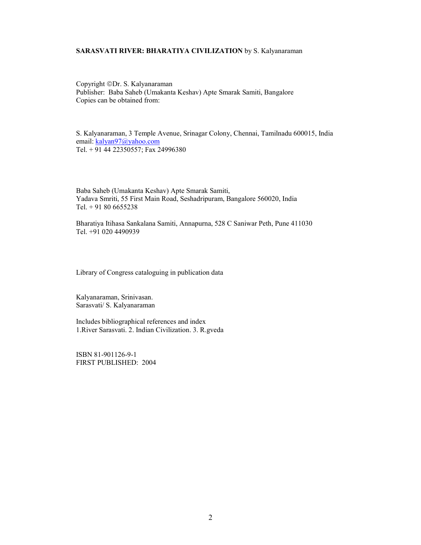#### SARASVATI RIVER: BHARATIYA CIVILIZATION by S. Kalyanaraman

Copyright ©Dr. S. Kalyanaraman Publisher: Baba Saheb (Umakanta Keshav) Apte Smarak Samiti, Bangalore Copies can be obtained from:

S. Kalyanaraman, 3 Temple Avenue, Srinagar Colony, Chennai, Tamilnadu 600015, India email: kalyan97@yahoo.com Tel. + 91 44 22350557; Fax 24996380

Baba Saheb (Umakanta Keshav) Apte Smarak Samiti, Yadava Smriti, 55 First Main Road, Seshadripuram, Bangalore 560020, India Tel. + 91 80 6655238

Bharatiya Itihasa Sankalana Samiti, Annapurna, 528 C Saniwar Peth, Pune 411030 Tel. +91 020 4490939

Library of Congress cataloguing in publication data

Kalyanaraman, Srinivasan. Sarasvati/ S. Kalyanaraman

Includes bibliographical references and index 1.River Sarasvati. 2. Indian Civilization. 3. R.gveda

ISBN 81-901126-9-1 FIRST PUBLISHED: 2004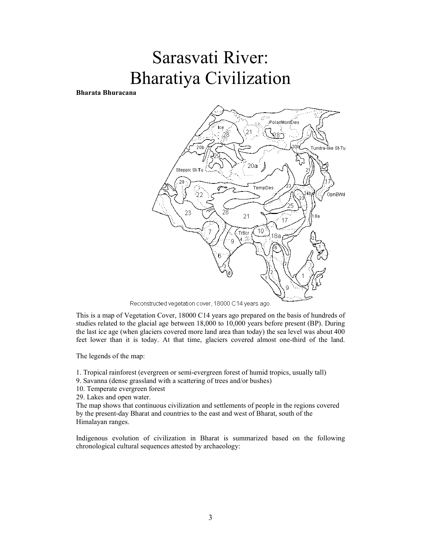# Sarasvati River: Bharatiya Civilization

Bharata Bhuracana





This is a map of Vegetation Cover, 18000 C14 years ago prepared on the basis of hundreds of studies related to the glacial age between 18,000 to 10,000 years before present (BP). During the last ice age (when glaciers covered more land area than today) the sea level was about 400 feet lower than it is today. At that time, glaciers covered almost one-third of the land.

The legends of the map:

1. Tropical rainforest (evergreen or semi-evergreen forest of humid tropics, usually tall)

- 9. Savanna (dense grassland with a scattering of trees and/or bushes)
- 10. Temperate evergreen forest

29. Lakes and open water.

The map shows that continuous civilization and settlements of people in the regions covered by the present-day Bharat and countries to the east and west of Bharat, south of the Himalayan ranges.

Indigenous evolution of civilization in Bharat is summarized based on the following chronological cultural sequences attested by archaeology: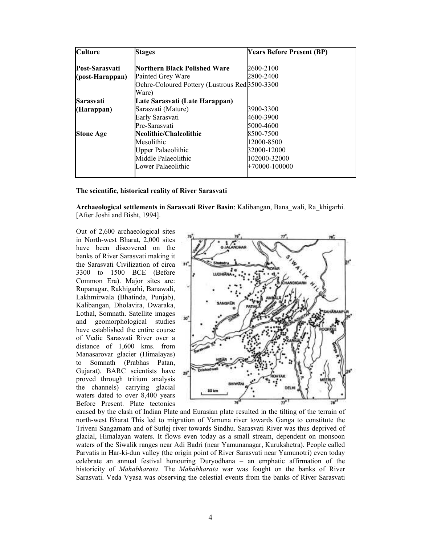| <b>Culture</b>   | <b>Stages</b>                                             | <b>Years Before Present (BP)</b> |
|------------------|-----------------------------------------------------------|----------------------------------|
| Post-Sarasvati   | Northern Black Polished Ware                              | 2600-2100                        |
| (post-Harappan)  | Painted Grey Ware                                         | 2800-2400                        |
|                  | Ochre-Coloured Pottery (Lustrous Red <sup>3500-3300</sup> |                                  |
|                  | Ware)                                                     |                                  |
| Sarasvati        | Late Sarasvati (Late Harappan)                            |                                  |
| (Harappan)       | Sarasvati (Mature)                                        | 3900-3300                        |
|                  | Early Sarasvati                                           | 4600-3900                        |
|                  | Pre-Sarasvati                                             | 5000-4600                        |
| <b>Stone Age</b> | Neolithic/Chalcolithic                                    | 8500-7500                        |
|                  | Mesolithic                                                | 12000-8500                       |
|                  | <b>Upper Palaeolithic</b>                                 | 32000-12000                      |
|                  | Middle Palaeolithic                                       | 102000-32000                     |
|                  | Lower Palaeolithic                                        | $+70000 - 100000$                |
|                  |                                                           |                                  |

#### The scientific, historical reality of River Sarasvati

Archaeological settlements in Sarasvati River Basin: Kalibangan, Bana\_wali, Ra\_khigarhi. [After Joshi and Bisht, 1994].

Out of 2,600 archaeological sites in North-west Bharat, 2,000 sites have been discovered on the banks of River Sarasvati making it the Sarasvati Civilization of circa 3300 to 1500 BCE (Before Common Era). Major sites are: Rupanagar, Rakhigarhi, Banawali, Lakhmirwala (Bhatinda, Punjab), Kalibangan, Dholavira, Dwaraka, Lothal, Somnath. Satellite images and geomorphological studies have established the entire course of Vedic Sarasvati River over a distance of 1,600 kms. from Manasarovar glacier (Himalayas) to Somnath (Prabhas Patan, Gujarat). BARC scientists have proved through tritium analysis the channels) carrying glacial waters dated to over 8,400 years Before Present. Plate tectonics



caused by the clash of Indian Plate and Eurasian plate resulted in the tilting of the terrain of north-west Bharat This led to migration of Yamuna river towards Ganga to constitute the Triveni Sangamam and of Sutlej river towards Sindhu. Sarasvati River was thus deprived of glacial, Himalayan waters. It flows even today as a small stream, dependent on monsoon waters of the Siwalik ranges near Adi Badri (near Yamunanagar, Kurukshetra). People called Parvatis in Har-ki-dun valley (the origin point of River Sarasvati near Yamunotri) even today celebrate an annual festival honouring Duryodhana – an emphatic affirmation of the historicity of Mahabharata. The Mahabharata war was fought on the banks of River Sarasvati. Veda Vyasa was observing the celestial events from the banks of River Sarasvati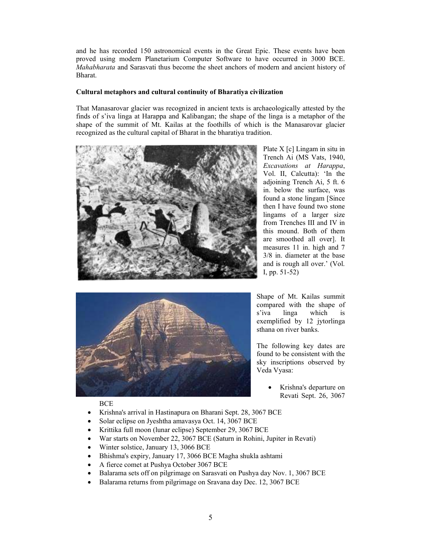and he has recorded 150 astronomical events in the Great Epic. These events have been proved using modern Planetarium Computer Software to have occurred in 3000 BCE. Mahabharata and Sarasvati thus become the sheet anchors of modern and ancient history of Bharat.

# Cultural metaphors and cultural continuity of Bharatiya civilization

That Manasarovar glacier was recognized in ancient texts is archaeologically attested by the finds of s'iva linga at Harappa and Kalibangan; the shape of the linga is a metaphor of the shape of the summit of Mt. Kailas at the foothills of which is the Manasarovar glacier recognized as the cultural capital of Bharat in the bharatiya tradition.



Plate X [c] Lingam in situ in Trench Ai (MS Vats, 1940, Excavations at Harappa, Vol. II, Calcutta): 'In the adjoining Trench Ai, 5 ft. 6 in. below the surface, was found a stone lingam [Since then I have found two stone lingams of a larger size from Trenches III and IV in this mound. Both of them are smoothed all over]. It measures 11 in. high and 7 3/8 in. diameter at the base and is rough all over.' (Vol. I, pp. 51-52)



Shape of Mt. Kailas summit compared with the shape of s'iva linga which is exemplified by 12 jytorlinga sthana on river banks.

The following key dates are found to be consistent with the sky inscriptions observed by Veda Vyasa:

> • Krishna's departure on Revati Sept. 26, 3067

#### BCE

- Krishna's arrival in Hastinapura on Bharani Sept. 28, 3067 BCE
- Solar eclipse on Jyeshtha amavasya Oct. 14, 3067 BCE
- Krittika full moon (lunar eclipse) September 29, 3067 BCE
- War starts on November 22, 3067 BCE (Saturn in Rohini, Jupiter in Revati)
- Winter solstice, January 13, 3066 BCE
- Bhishma's expiry, January 17, 3066 BCE Magha shukla ashtami
- A fierce comet at Pushya October 3067 BCE
- Balarama sets off on pilgrimage on Sarasvati on Pushya day Nov. 1, 3067 BCE
- Balarama returns from pilgrimage on Sravana day Dec. 12, 3067 BCE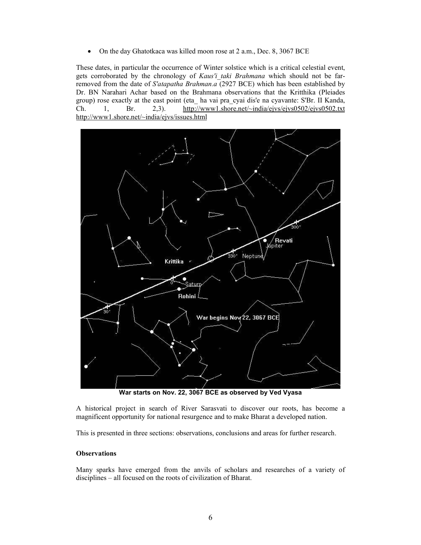• On the day Ghatotkaca was killed moon rose at 2 a.m., Dec. 8, 3067 BCE

These dates, in particular the occurrence of Winter solstice which is a critical celestial event, gets corroborated by the chronology of Kaus'i taki Brahmana which should not be farremoved from the date of S'atapatha Brahman.a (2927 BCE) which has been established by Dr. BN Narahari Achar based on the Brahmana observations that the Kritthika (Pleiades group) rose exactly at the east point (eta\_ ha vai pra\_cyai dis'e na cyavante: S'Br. II Kanda, Ch. 1. Br. 2.3). http://www1.shore.net/~india/ejvs/ejvs0502/ejvs0502.txt 1, Br. 2,3). http://www1.shore.net/~india/ejvs/ejvs0502/ejvs0502.txt http://www1.shore.net/~india/ejvs/issues.html



War starts on Nov. 22, 3067 BCE as observed by Ved Vyasa

A historical project in search of River Sarasvati to discover our roots, has become a magnificent opportunity for national resurgence and to make Bharat a developed nation.

This is presented in three sections: observations, conclusions and areas for further research.

# **Observations**

Many sparks have emerged from the anvils of scholars and researches of a variety of disciplines – all focused on the roots of civilization of Bharat.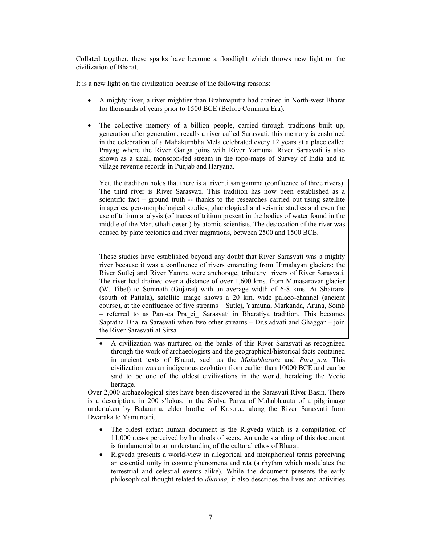Collated together, these sparks have become a floodlight which throws new light on the civilization of Bharat.

It is a new light on the civilization because of the following reasons:

- A mighty river, a river mightier than Brahmaputra had drained in North-west Bharat for thousands of years prior to 1500 BCE (Before Common Era).
- The collective memory of a billion people, carried through traditions built up, generation after generation, recalls a river called Sarasvati; this memory is enshrined in the celebration of a Mahakumbha Mela celebrated every 12 years at a place called Prayag where the River Ganga joins with River Yamuna. River Sarasvati is also shown as a small monsoon-fed stream in the topo-maps of Survey of India and in village revenue records in Punjab and Haryana.

Yet, the tradition holds that there is a triven.i san:gamma (confluence of three rivers). The third river is River Sarasvati. This tradition has now been established as a scientific fact – ground truth -- thanks to the researches carried out using satellite imageries, geo-morphological studies, glaciological and seismic studies and even the use of tritium analysis (of traces of tritium present in the bodies of water found in the middle of the Marusthali desert) by atomic scientists. The desiccation of the river was caused by plate tectonics and river migrations, between 2500 and 1500 BCE.

These studies have established beyond any doubt that River Sarasvati was a mighty river because it was a confluence of rivers emanating from Himalayan glaciers; the River Sutlej and River Yamna were anchorage, tributary rivers of River Sarasvati. The river had drained over a distance of over 1,600 kms. from Manasarovar glacier (W. Tibet) to Somnath (Gujarat) with an average width of 6-8 kms. At Shatrana (south of Patiala), satellite image shows a 20 km. wide palaeo-channel (ancient course), at the confluence of five streams – Sutlej, Yamuna, Markanda, Aruna, Somb – referred to as Pan~ca Pra\_ci\_ Sarasvati in Bharatiya tradition. This becomes Saptatha Dha\_ra Sarasvati when two other streams – Dr.s.advati and Ghaggar – join the River Sarasvati at Sirsa

• A civilization was nurtured on the banks of this River Sarasvati as recognized through the work of archaeologists and the geographical/historical facts contained in ancient texts of Bharat, such as the Mahabharata and Pura n.a. This civilization was an indigenous evolution from earlier than 10000 BCE and can be said to be one of the oldest civilizations in the world, heralding the Vedic heritage.

Over 2,000 archaeological sites have been discovered in the Sarasvati River Basin. There is a description, in 200 s'lokas, in the S'alya Parva of Mahabharata of a pilgrimage undertaken by Balarama, elder brother of Kr.s.n.a, along the River Sarasvati from Dwaraka to Yamunotri.

- The oldest extant human document is the R.gveda which is a compilation of 11,000 r.ca-s perceived by hundreds of seers. An understanding of this document is fundamental to an understanding of the cultural ethos of Bharat.
- R.gveda presents a world-view in allegorical and metaphorical terms perceiving an essential unity in cosmic phenomena and r.ta (a rhythm which modulates the terrestrial and celestial events alike). While the document presents the early philosophical thought related to dharma, it also describes the lives and activities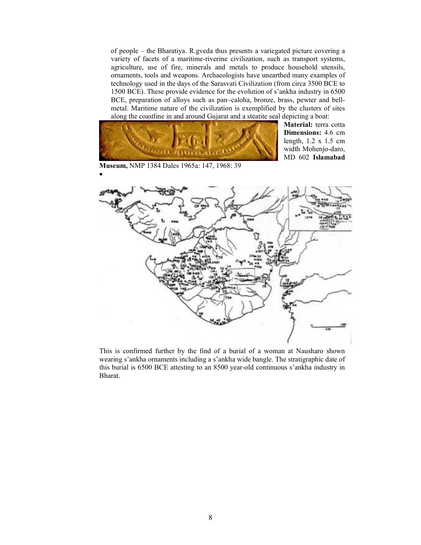of people – the Bharatiya. R.gveda thus presents a variegated picture covering a variety of facets of a maritime-riverine civilization, such as transport systems, agriculture, use of fire, minerals and metals to produce household utensils, ornaments, tools and weapons. Archaeologists have unearthed many examples of technology used in the days of the Sarasvati Civilization (from circa 3500 BCE to 1500 BCE). These provide evidence for the evolution of s'ankha industry in 6500 BCE, preparation of alloys such as pan~caloha, bronze, brass, pewter and bellmetal. Maritime nature of the civilization is exemplified by the clusters of sites along the coastline in and around Gujarat and a steatite seal depicting a boat:



•

Material: terra cotta Dimensions: 4.6 cm length, 1.2 x 1.5 cm width Mohenjo-daro, MD 602 Islamabad

This is confirmed further by the find of a burial of a woman at Nausharo shown wearing s'ankha ornaments including a s'ankha wide bangle. The stratigraphic date of this burial is 6500 BCE attesting to an 8500 year-old continuous s'ankha industry in Bharat.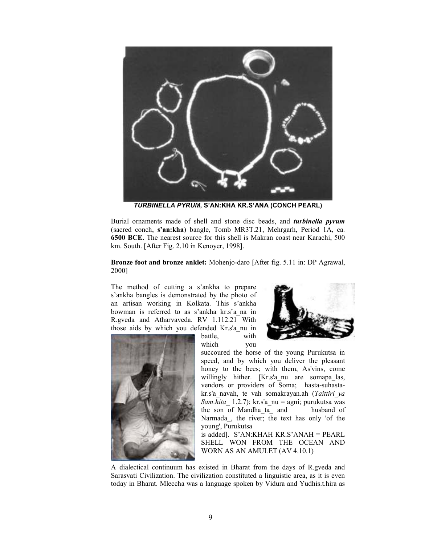

TURBINELLA PYRUM, S'AN:KHA KR.S'ANA (CONCH PEARL)

Burial ornaments made of shell and stone disc beads, and turbinella pyrum (sacred conch, s'an:kha) bangle, Tomb MR3T.21, Mehrgarh, Period 1A, ca. 6500 BCE. The nearest source for this shell is Makran coast near Karachi, 500 km. South. [After Fig. 2.10 in Kenoyer, 1998].

Bronze foot and bronze anklet: Mohenjo-daro [After fig. 5.11 in: DP Agrawal, 2000]

The method of cutting a s'ankha to prepare s'ankha bangles is demonstrated by the photo of an artisan working in Kolkata. This s'ankha bowman is referred to as s'ankha kr.s'a\_na in R.gveda and Atharvaveda. RV 1.112.21 With those aids by which you defended Kr.s'a\_nu in



battle, with which you



succoured the horse of the young Purukutsa in speed, and by which you deliver the pleasant honey to the bees; with them, As'vins, come willingly hither. [Kr.s'a\_nu are somapa\_las, vendors or providers of Soma; hasta-suhastakr.s'a navah, te vah somakrayan.ah (Taittiri ya Sam.hita 1.2.7); kr.s'a nu = agni; purukutsa was the son of Mandha\_ta\_ and husband of Narmada\_, the river; the text has only 'of the young', Purukutsa

 is added]. S'AN:KHAH KR.S'ANAH = PEARL SHELL WON FROM THE OCEAN AND WORN AS AN AMULET (AV 4.10.1)

A dialectical continuum has existed in Bharat from the days of R.gveda and Sarasvati Civilization. The civilization constituted a linguistic area, as it is even today in Bharat. Mleccha was a language spoken by Vidura and Yudhis.t.hira as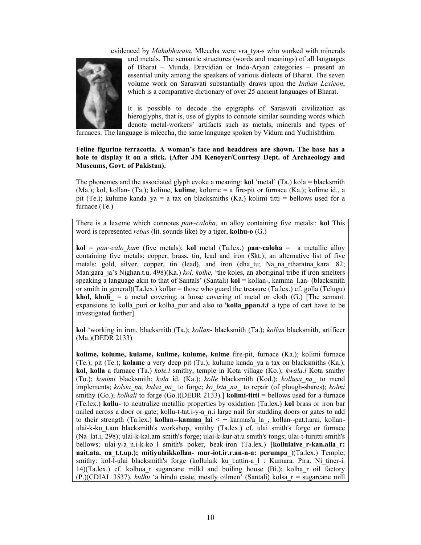evidenced by *Mahabharata*. Mleccha were vra tya-s who worked with minerals



and metals. The semantic structures (words and meanings) of all languages of Bharat – Munda, Dravidian or Indo-Aryan categories – present an essential unity among the speakers of various dialects of Bharat. The seven volume work on Sarasvati substantially draws upon the Indian Lexicon, which is a comparative dictionary of over 25 ancient languages of Bharat.

It is possible to decode the epigraphs of Sarasvati civilization as hieroglyphs, that is, use of glyphs to connote similar sounding words which denote metal-workers' artifacts such as metals, minerals and types of

furnaces. The language is mleccha, the same language spoken by Vidura and Yudhishthira.

#### Feline figurine terracotta. A woman's face and headdress are shown. The base has a hole to display it on a stick. (After JM Kenoyer/Courtesy Dept. of Archaeology and Museums, Govt. of Pakistan).

The phonemes and the associated glyph evoke a meaning:  $\text{kol}'$  (Ta.) kola = blacksmith (Ma.); kol, kollan- (Ta.); kolime, kulime, kolume = a fire-pit or furnace (Ka.); kolime id., a pit (Te.); kulume kanda ya = a tax on blacksmiths (Ka.) kolimi titti = bellows used for a furnace (Te.)

There is a lexeme which connotes pan-caloha, an alloy containing five metals:: kol This word is represented *rebus* (lit. sounds like) by a tiger, **kolhu-o** (G.)

 $\text{kol} = pan \sim calo \ \text{kam}$  (five metals); kol metal (Ta.lex.) pan $\sim$ caloha = a metallic alloy containing five metals: copper, brass, tin, lead and iron (Skt.); an alternative list of five metals: gold, silver, copper, tin (lead), and iron (dha\_tu; Na\_na\_rtharatna\_kara. 82; Man:gara ja's Nighan.t.u. 498)(Ka.) kol, kolhe, 'the koles, an aboriginal tribe if iron smelters speaking a language akin to that of Santals' (Santali)  $\text{kol} = \text{kollan}$ -, kamma l.an- (blacksmith or smith in general)(Ta.lex.) kollar = those who guard the treasure (Ta.lex.) cf. golla (Telugu) **khol, kholi** = a metal covering; a loose covering of metal or cloth (G.) [The semant. expansions to kolla puri or kolha pur and also to 'kolla ppan.t.i' a type of cart have to be investigated further].

kol 'working in iron, blacksmith (Ta.); kollan- blacksmith (Ta.); kollan blacksmith, artificer (Ma.)(DEDR 2133)

kolime, kolume, kulame, kulime, kulume, kulme fire-pit, furnace (Ka.); kolimi furnace (Te.); pit (Te.); kolame a very deep pit (Tu.); kulume kanda\_ya a tax on blacksmiths (Ka.); kol, kolla a furnace (Ta.) kole.l smithy, temple in Kota village (Ko.); kwala.l Kota smithy (To.); konimi blacksmith; kola id. (Ka.); kolle blacksmith (Kod.); kollusa na\_ to mend implements; kolsta na, kulsa na\_ to forge; ko\_lsta\_na\_ to repair (of plough-shares); kolmi smithy (Go.); *kolhali* to forge (Go.)(DEDR 2133).] **kolimi-titti** = bellows used for a furnace (Te.lex.) kollu- to neutralize metallic properties by oxidation (Ta.lex.) kol brass or iron bar nailed across a door or gate; kollu-t-tat.i-y-a n.i large nail for studding doors or gates to add to their strength (Ta.lex.) **kollan--kamma** lai  $\leq$  + karmas'a la, kollan--pat.t.arai, kollanulai-k-ku\_t.am blacksmith's workshop, smithy (Ta.lex.) cf. ulai smith's forge or furnace (Na\_lat.i, 298); ulai-k-kal.am smith's forge; ulai-k-kur-at.u smith's tongs; ulai-t-turutti smith's bellows; ulai-y-a n.i-k-ko l smith's poker, beak-iron (Ta.lex.) [kollulaive r-kan.alla r: nait.ata. na t.t.up.); mitiyulaikkollan- mur-iot.ir.r.an-n-a: perumpa  $(Ta.lex.)$  Temple; smithy: kol-l-ulai blacksmith's forge (kollulaik ku\_t.attin-a\_l : Kumara. Pira. Ni\_tiner-i. 14)(Ta.lex.) cf. kolhua\_r sugarcane milkl and boiling house (Bi.); kolha\_r oil factory (P.)(CDIAL 3537). *kulhu* 'a hindu caste, mostly oilmen' (Santali) kolsa  $r =$  sugarcane mill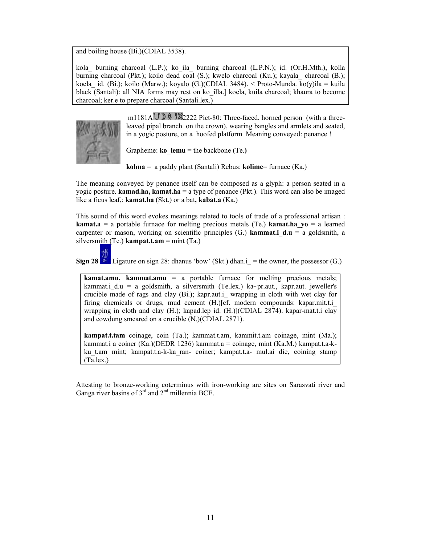and boiling house (Bi.)(CDIAL 3538).

kola\_ burning charcoal (L.P.); ko\_ila\_ burning charcoal (L.P.N.); id. (Or.H.Mth.), kolla burning charcoal (Pkt.); koilo dead coal (S.); kwelo charcoal (Ku.); kayala\_ charcoal (B.); koela id. (Bi.); koilo (Marw.); koyalo (G.)(CDIAL 3484). < Proto-Munda. ko(y)ila = kuila black (Santali): all NIA forms may rest on ko\_illa.] koela, kuila charcoal; khaura to become charcoal; ker.e to prepare charcoal (Santali.lex.)



m1181A  $\cup$   $\mathbb{R}$   $\mathbb{Z}$  2222 Pict-80: Three-faced, horned person (with a threeleaved pipal branch on the crown), wearing bangles and armlets and seated, in a yogic posture, on a hoofed platform Meaning conveyed: penance !

Grapheme: **ko** lemu = the backbone (Te.)

 $\mathbf{kolma} = \mathbf{a} \text{ paddy plant (Santali) Rebus: } \mathbf{kolime} = \text{furnace (Ka.)}$ 

The meaning conveyed by penance itself can be composed as a glyph: a person seated in a yogic posture. **kamad.ha, kamat.ha** = a type of penance (Pkt.). This word can also be imaged like a ficus leaf,: **kamat.ha** (Skt.) or a bat, **kabat.a** (Ka.)

This sound of this word evokes meanings related to tools of trade of a professional artisan : **kamat.a** = a portable furnace for melting precious metals (Te.) **kamat.ha**  $y_0$  = a learned carpenter or mason, working on scientific principles (G.) **kammat.i**  $d.u = a$  goldsmith, a silversmith (Te.) kampat.t.am = mint (Ta.)

Sign 28  $^{1/2}$  Ligature on sign 28: dhanus 'bow' (Skt.) dhan.i\_ = the owner, the possessor (G.)

**kamat.amu, kammat.amu** = a portable furnace for melting precious metals; kammat.i d.u = a goldsmith, a silversmith (Te.lex.) ka~pr.aut., kapr.aut. jeweller's crucible made of rags and clay (Bi.); kapr.aut.i\_ wrapping in cloth with wet clay for firing chemicals or drugs, mud cement (H.)[cf. modern compounds: kapar.mit.t.i wrapping in cloth and clay (H.); kapad.lep id. (H.)](CDIAL 2874). kapar-mat.t.i clay and cowdung smeared on a crucible (N.)(CDIAL 2871).

kampat.t.tam coinage, coin (Ta.); kammat.t.am, kammit.t.am coinage, mint (Ma.); kammat.i a coiner (Ka.)(DEDR 1236) kammat.a = coinage, mint (Ka.M.) kampat.t.a-kku\_t.am mint; kampat.t.a-k-ka\_ran- coiner; kampat.t.a- mul.ai die, coining stamp (Ta.lex.)

Attesting to bronze-working coterminus with iron-working are sites on Sarasvati river and Ganga river basins of  $3<sup>rd</sup>$  and  $2<sup>nd</sup>$  millennia BCE.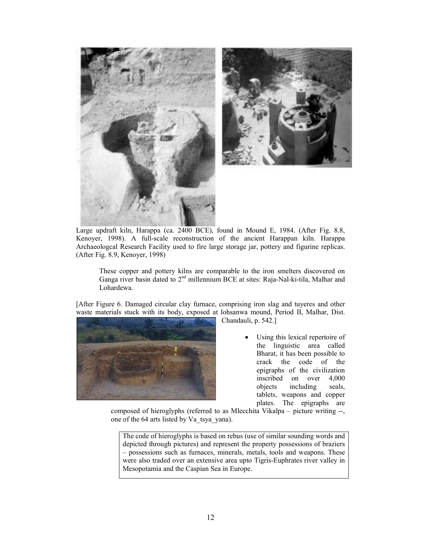

Large updraft kiln, Harappa (ca. 2400 BCE), found in Mound E, 1984. (After Fig. 8.8, Kenoyer, 1998). A full-scale reconstruction of the ancient Harappan kiln. Harappa Archaeologcal Research Facility used to fire large storage jar, pottery and figurine replicas. (After Fig. 8.9, Kenoyer, 1998)

These copper and pottery kilns are comparable to the iron smelters discovered on Ganga river basin dated to  $2<sup>nd</sup>$  millennium BCE at sites: Raja-Nal-ki-tila, Malhar and Lohardewa.

[After Figure 6. Damaged circular clay furnace, comprising iron slag and tuyeres and other waste materials stuck with its body, exposed at lohsanwa mound, Period II, Malhar, Dist.



Chandauli, p. 542.]

Using this lexical repertoire of the linguistic area called Bharat, it has been possible to crack the code of the epigraphs of the civilization inscribed on over 4,000 objects including seals, tablets, weapons and copper plates. The epigraphs are

composed of hieroglyphs (referred to as Mlecchita Vikalpa – picture writing --, one of the 64 arts listed by Va\_tsya\_yana).

The code of hieroglyphs is based on rebus (use of similar sounding words and depicted through pictures) and represent the property possessions of braziers – possessions such as furnaces, minerals, metals, tools and weapons. These were also traded over an extensive area upto Tigris-Euphrates river valley in Mesopotamia and the Caspian Sea in Europe.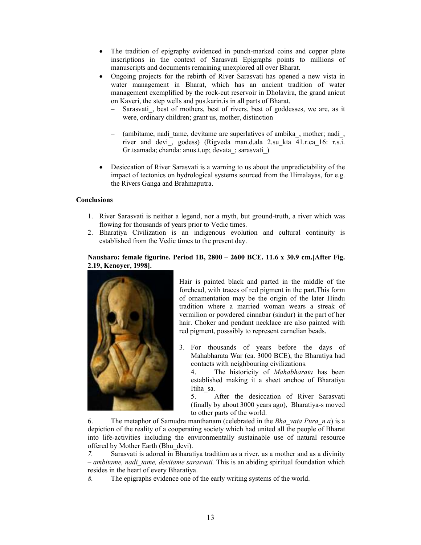- The tradition of epigraphy evidenced in punch-marked coins and copper plate inscriptions in the context of Sarasvati Epigraphs points to millions of manuscripts and documents remaining unexplored all over Bharat.
- Ongoing projects for the rebirth of River Sarasvati has opened a new vista in water management in Bharat, which has an ancient tradition of water management exemplified by the rock-cut reservoir in Dholavira, the grand anicut on Kaveri, the step wells and pus.karin.is in all parts of Bharat.
	- Sarasvati, best of mothers, best of rivers, best of goddesses, we are, as it were, ordinary children; grant us, mother, distinction
	- (ambitame, nadi\_tame, devitame are superlatives of ambika\_, mother; nadi\_, river and devi\_, godess) (Rigveda man.d.ala 2.su\_kta 41.r.ca 16: r.s.i. Gr.tsamada; chanda: anus.t.up; devata\_; sarasvati\_)
- Desiccation of River Sarasvati is a warning to us about the unpredictability of the impact of tectonics on hydrological systems sourced from the Himalayas, for e.g. the Rivers Ganga and Brahmaputra.

# **Conclusions**

- 1. River Sarasvati is neither a legend, nor a myth, but ground-truth, a river which was flowing for thousands of years prior to Vedic times.
- 2. Bharatiya Civilization is an indigenous evolution and cultural continuity is established from the Vedic times to the present day.

# Nausharo: female figurine. Period 1B, 2800 – 2600 BCE. 11.6 x 30.9 cm.[After Fig. 2.19, Kenoyer, 1998].



Hair is painted black and parted in the middle of the forehead, with traces of red pigment in the part.This form of ornamentation may be the origin of the later Hindu tradition where a married woman wears a streak of vermilion or powdered cinnabar (sindur) in the part of her hair. Choker and pendant necklace are also painted with red pigment, posssibly to represent carnelian beads.

3. For thousands of years before the days of Mahabharata War (ca. 3000 BCE), the Bharatiya had contacts with neighbouring civilizations.

4. The historicity of Mahabharata has been established making it a sheet anchoe of Bharatiya Itiha\_sa.

5. After the desiccation of River Sarasvati (finally by about 3000 years ago), Bharatiya-s moved to other parts of the world.

6. The metaphor of Samudra manthanam (celebrated in the *Bha* vata Pura  $n.a$ ) is a depiction of the reality of a cooperating society which had united all the people of Bharat into life-activities including the environmentally sustainable use of natural resource offered by Mother Earth (Bhu\_devi).

7. Sarasvati is adored in Bharatiya tradition as a river, as a mother and as a divinity – ambitame, nadi tame, devitame sarasvati. This is an abiding spiritual foundation which resides in the heart of every Bharatiya.

8. The epigraphs evidence one of the early writing systems of the world.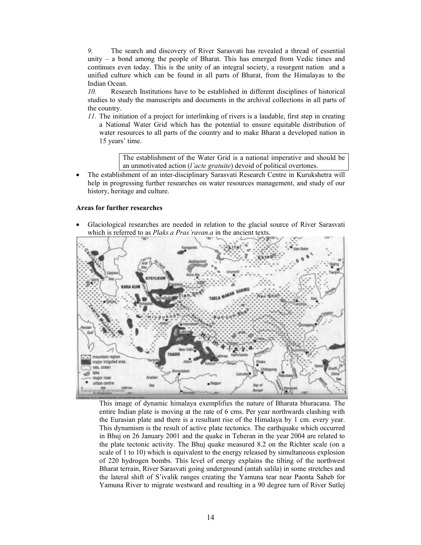9. The search and discovery of River Sarasvati has revealed a thread of essential unity – a bond among the people of Bharat. This has emerged from Vedic times and continues even today. This is the unity of an integral society, a resurgent nation and a unified culture which can be found in all parts of Bharat, from the Himalayas to the Indian Ocean.

10. Research Institutions have to be established in different disciplines of historical studies to study the manuscripts and documents in the archival collections in all parts of the country.

11. The initiation of a project for interlinking of rivers is a laudable, first step in creating a National Water Grid which has the potential to ensure equitable distribution of water resources to all parts of the country and to make Bharat a developed nation in 15 years' time.

> The establishment of the Water Grid is a national imperative and should be an unmotivated action (l'acte gratuite) devoid of political overtones.

• The establishment of an inter-disciplinary Sarasvati Research Centre in Kurukshetra will help in progressing further researches on water resources management, and study of our history, heritage and culture.

#### Areas for further researches

• Glaciological researches are needed in relation to the glacial source of River Sarasvati which is referred to as *Plaks.a Pras'ravan.a* in the ancient texts.



This image of dynamic himalaya exemplifies the nature of Bharata bhuracana. The entire Indian plate is moving at the rate of 6 cms. Per year northwards clashing with the Eurasian plate and there is a resultant rise of the Himalaya by 1 cm. every year. This dynamism is the result of active plate tectonics. The earthquake which occurred in Bhuj on 26 January 2001 and the quake in Teheran in the year 2004 are related to the plate tectonic activity. The Bhuj quake measured 8.2 on the Richter scale (on a scale of 1 to 10) which is equivalent to the energy released by simultaneous explosion of 220 hydrogen bombs. This level of energy explains the tilting of the northwest Bharat terrain, River Sarasvati going underground (antah salila) in some stretches and the lateral shift of S'ivalik ranges creating the Yamuna tear near Paonta Saheb for Yamuna River to migrate westward and resulting in a 90 degree turn of River Sutlej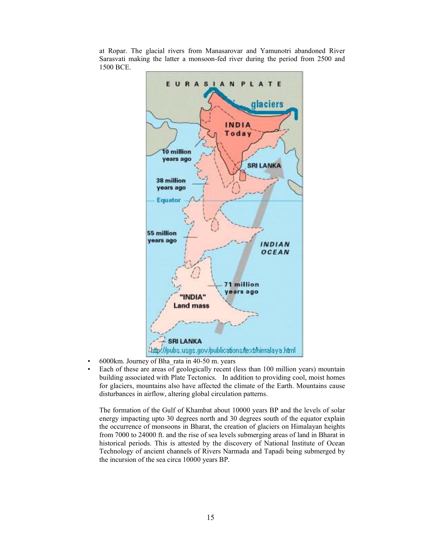at Ropar. The glacial rivers from Manasarovar and Yamunotri abandoned River Sarasvati making the latter a monsoon-fed river during the period from 2500 and 1500 BCE.



- 6000km. Journey of Bha\_rata in 40-50 m. years
- Each of these are areas of geologically recent (less than 100 million years) mountain building associated with Plate Tectonics. In addition to providing cool, moist homes for glaciers, mountains also have affected the climate of the Earth. Mountains cause disturbances in airflow, altering global circulation patterns.

The formation of the Gulf of Khambat about 10000 years BP and the levels of solar energy impacting upto 30 degrees north and 30 degrees south of the equator explain the occurrence of monsoons in Bharat, the creation of glaciers on Himalayan heights from 7000 to 24000 ft. and the rise of sea levels submerging areas of land in Bharat in historical periods. This is attested by the discovery of National Institute of Ocean Technology of ancient channels of Rivers Narmada and Tapadi being submerged by the incursion of the sea circa 10000 years BP.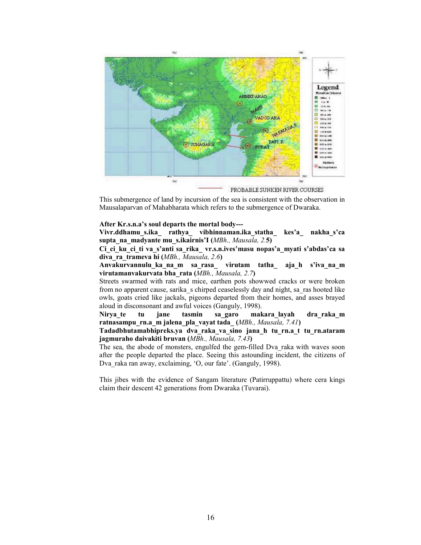

PROBABLE SUNKEN RIVER COURSES

This submergence of land by incursion of the sea is consistent with the observation in Mausalaparvan of Mahabharata which refers to the submergence of Dwaraka.

#### After Kr.s.n.a's soul departs the mortal body---

Vivr.ddhamu\_s.ika\_ rathya\_ vibhinnaman.ika\_statha\_ kes'a\_ nakha\_s'ca supta na madyante mu s.ikairnis'I (MBh., Mausala, 2.5)

Ci ci ku ci ti va s'anti sa rika vr.s.n.ives'masu nopas'a myati s'abdas'ca sa diva ra trameva hi (MBh., Mausala, 2.6)

Anvakurvannulu\_ka\_na\_m sa\_rasa\_ virutam tatha\_ aja\_h s'iva\_na\_m virutamanvakurvata bha\_rata (MBh., Mausala, 2.7)

Streets swarmed with rats and mice, earthen pots showwed cracks or were broken from no apparent cause, sarika\_s chirped ceaselessly day and night, sa\_ras hooted like owls, goats cried like jackals, pigeons departed from their homes, and asses brayed aloud in disconsonant and awful voices (Ganguly, 1998).

Nirya te tu jane tasmin sa\_garo makara\_layah dra\_raka\_m ratnasampu rn.a m jalena pla vayat tada  $(MBh, Mausala, 7.41)$ 

Tadadbhutamabhipreks.ya dva\_raka\_va\_sino jana\_h tu\_rn.a\_t tu\_rn.ataram jagmuraho daivakiti bruvan (MBh., Mausala, 7.43)

The sea, the abode of monsters, engulfed the gem-filled Dva\_raka with waves soon after the people departed the place. Seeing this astounding incident, the citizens of Dva raka ran away, exclaiming, 'O, our fate'. (Ganguly, 1998).

This jibes with the evidence of Sangam literature (Patirruppattu) where cera kings claim their descent 42 generations from Dwaraka (Tuvarai).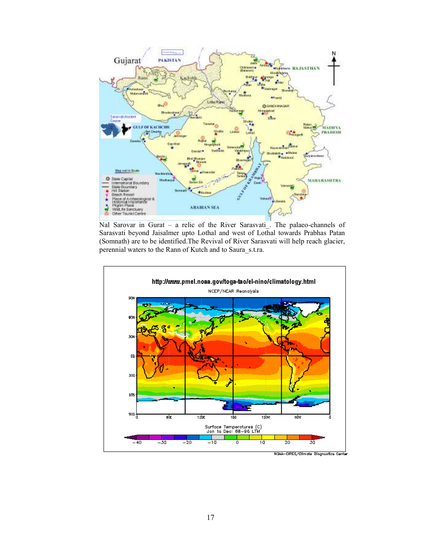

Nal Sarovar in Gurat – a relic of the River Sarasvati. The palaeo-channels of Sarasvati beyond Jaisalmer upto Lothal and west of Lothal towards Prabhas Patan (Somnath) are to be identified.The Revival of River Sarasvati will help reach glacier, perennial waters to the Rann of Kutch and to Saura\_s.t.ra.

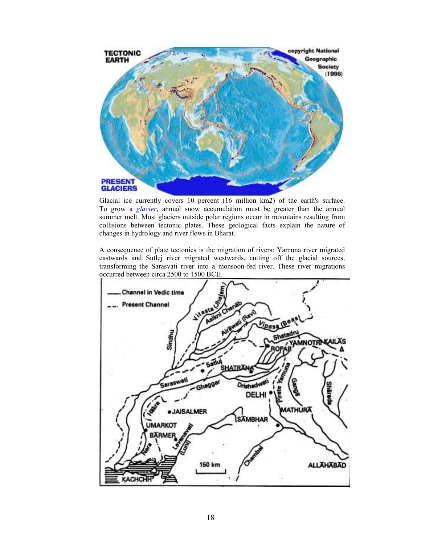

Glacial ice currently covers 10 percent (16 million km2) of the earth's surface. To grow a *glacier*, annual snow accumulation must be greater than the annual summer melt. Most glaciers outside polar regions occur in mountains resulting from collisions between tectonic plates. These geological facts explain the nature of changes in hydrology and river flows in Bharat.

A consequence of plate tectonics is the migration of rivers: Yamuna river migrated eastwards and Sutlej river migrated westwards, cutting off the glacial sources, transforming the Sarasvati river into a monsoon-fed river. These river migrations occurred between circa 2500 to 1500 BCE.

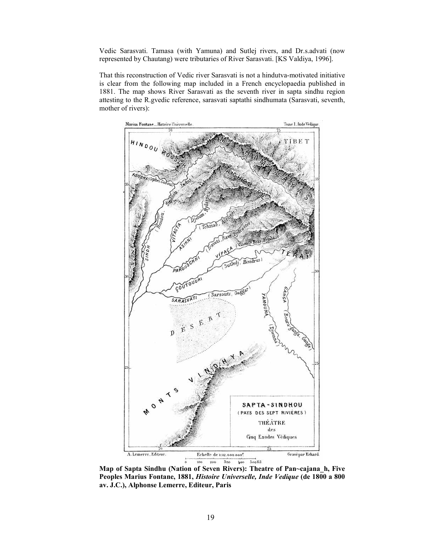Vedic Sarasvati. Tamasa (with Yamuna) and Sutlej rivers, and Dr.s.advati (now represented by Chautang) were tributaries of River Sarasvati. [KS Valdiya, 1996].

That this reconstruction of Vedic river Sarasvati is not a hindutva-motivated initiative is clear from the following map included in a French encyclopaedia published in 1881. The map shows River Sarasvati as the seventh river in sapta sindhu region attesting to the R.gvedic reference, sarasvati saptathi sindhumata (Sarasvati, seventh, mother of rivers):



Map of Sapta Sindhu (Nation of Seven Rivers): Theatre of Pan~cajana\_h, Five Peoples Marius Fontane, 1881, Histoire Universelle, Inde Vedique (de 1800 a 800 av. J.C.), Alphonse Lemerre, Editeur, Paris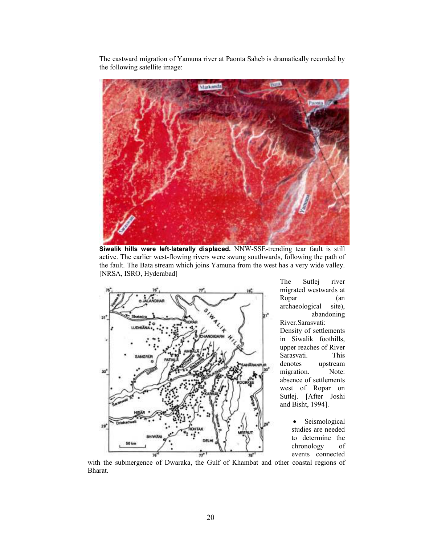The eastward migration of Yamuna river at Paonta Saheb is dramatically recorded by the following satellite image:



Siwalik hills were left-laterally displaced. NNW-SSE-trending tear fault is still active. The earlier west-flowing rivers were swung southwards, following the path of the fault. The Bata stream which joins Yamuna from the west has a very wide valley. [NRSA, ISRO, Hyderabad]



The Sutlej river migrated westwards at Ropar (an archaeological site), archaeological abandoning

River.Sarasvati: Density of settlements in Siwalik foothills, upper reaches of River Sarasvati. This denotes upstream migration. Note: absence of settlements west of Ropar on Sutlej. [After Joshi and Bisht, 1994].

> • Seismological studies are needed to determine the chronology of events connected

with the submergence of Dwaraka, the Gulf of Khambat and other coastal regions of Bharat.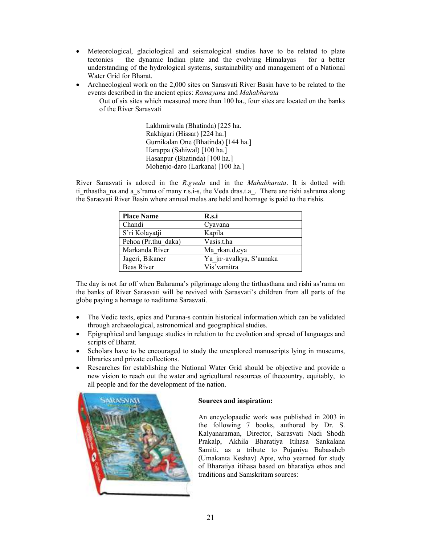- Meteorological, glaciological and seismological studies have to be related to plate tectonics – the dynamic Indian plate and the evolving Himalayas – for a better understanding of the hydrological systems, sustainability and management of a National Water Grid for Bharat.
- Archaeological work on the 2,000 sites on Sarasvati River Basin have to be related to the events described in the ancient epics: Ramayana and Mahabharata

Out of six sites which measured more than 100 ha., four sites are located on the banks of the River Sarasvati

> Lakhmirwala (Bhatinda) [225 ha. Rakhigari (Hissar) [224 ha.] Gurnikalan One (Bhatinda) [144 ha.] Harappa (Sahiwal) [100 ha.] Hasanpur (Bhatinda) [100 ha.] Mohenjo-daro (Larkana) [100 ha.]

River Sarasvati is adored in the R.gveda and in the Mahabharata. It is dotted with ti rthastha na and a s'rama of many r.s.i-s, the Veda dras.t.a. There are rishi ashrama along the Sarasvati River Basin where annual melas are held and homage is paid to the rishis.

| <b>Place Name</b>   | R.s.i                   |  |
|---------------------|-------------------------|--|
| Chandi              | Cyavana                 |  |
| S'ri Kolayatji      | Kapila                  |  |
| Pehoa (Pr.thu daka) | Vasis.t.ha              |  |
| Markanda River      | Ma rkan.d.eya           |  |
| Jageri, Bikaner     | Ya jn~avalkya, S'aunaka |  |
| <b>Beas River</b>   | Vis'vamitra             |  |

The day is not far off when Balarama's pilgrimage along the tirthasthana and rishi as'rama on the banks of River Sarasvati will be revived with Sarasvati's children from all parts of the globe paying a homage to naditame Sarasvati.

- The Vedic texts, epics and Purana-s contain historical information.which can be validated through archaeological, astronomical and geographical studies.
- Epigraphical and language studies in relation to the evolution and spread of languages and scripts of Bharat.
- Scholars have to be encouraged to study the unexplored manuscripts lying in museums, libraries and private collections.
- Researches for establishing the National Water Grid should be objective and provide a new vision to reach out the water and agricultural resources of thecountry, equitably, to all people and for the development of the nation.



# Sources and inspiration:

An encyclopaedic work was published in 2003 in the following 7 books, authored by Dr. S. Kalyanaraman, Director, Sarasvati Nadi Shodh Prakalp, Akhila Bharatiya Itihasa Sankalana Samiti, as a tribute to Pujaniya Babasaheb (Umakanta Keshav) Apte, who yearned for study of Bharatiya itihasa based on bharatiya ethos and traditions and Samskritam sources: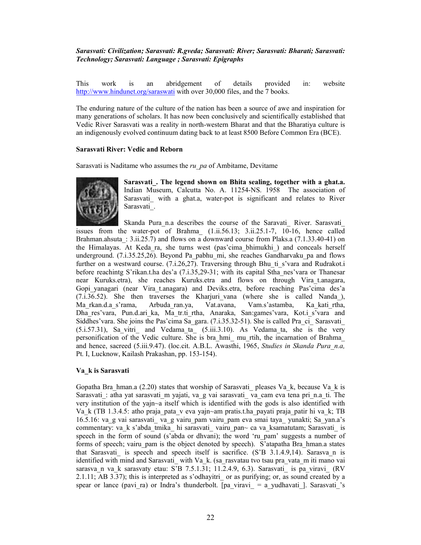# Sarasvati: Civilization; Sarasvati: R.gveda; Sarasvati: River; Sarasvati: Bharati; Sarasvati: Technology; Sarasvati: Language ; Sarasvati: Epigraphs

This work is an abridgement of details provided in: website http://www.hindunet.org/saraswati with over 30,000 files, and the 7 books.

The enduring nature of the culture of the nation has been a source of awe and inspiration for many generations of scholars. It has now been conclusively and scientifically established that Vedic River Sarasvati was a reality in north-western Bharat and that the Bharatiya culture is an indigenously evolved continuum dating back to at least 8500 Before Common Era (BCE).

# Sarasvati River: Vedic and Reborn

Sarasvati is Naditame who assumes the ru  $pa$  of Ambitame, Devitame



Sarasvati. The legend shown on Bhita sealing, together with a ghat.a. Indian Museum, Calcutta No. A. 11254-NS. 1958 The association of Sarasvati with a ghat.a, water-pot is significant and relates to River Sarasvati\_.

Skanda Pura n.a describes the course of the Saravati\_ River. Sarasvati issues from the water-pot of Brahma  $(1.ii.56.13; 3.ii.25.1-7, 10-16,$  hence called Brahman.ahsuta:  $3.ii.25.7$ ) and flows on a downward course from Plaks.a (7.1.33.40-41) on the Himalayas. At Keda\_ra, she turns west (pas'cima\_bhimukhi\_) and conceals herself underground. (7.i.35.25,26). Beyond Pa\_pabhu\_mi, she reaches Gandharvaku\_pa and flows further on a westward course. (7.i.26,27). Traversing through Bhu ti s'vara and Rudrakot.i before reachintg S'rikan.t.ha des'a (7.i.35,29-31; with its capital Stha\_nes'vara or Thanesar near Kuruks.etra), she reaches Kuruks.etra and flows on through Vira\_t.anagara, Gopi\_yanagari (near Vira\_t.anagara) and Deviks.etra, before reaching Pas'cima des'a  $(7.1.36.52)$ . She then traverses the Kharjuri vana (where she is called Nanda), Ma\_rkan.d.a\_s'rama, Arbuda\_ran.ya, Vat.avana, Vam.s'astamba, Ka\_kati\_rtha, Dha res'vara, Pun.d.ari ka, Ma tr.ti rtha, Anaraka, San:games'vara, Kot.i s'vara and Siddhes' vara. She joins the Pas' cima Sa\_gara. (7.i.35.32-51). She is called Pra\_ci\_ Sarasvati  $(5.1.57.31)$ , Sa vitri and Vedama ta  $(5.1.10)$ . As Vedama ta, she is the very personification of the Vedic culture. She is bra\_hmi\_ mu\_rtih, the incarnation of Brahma\_ and hence, sacreed (5.iii.9.47). (loc.cit. A.B.L. Awasthi, 1965, Studies in Skanda Pura n.a, Pt. I, Lucknow, Kailash Prakashan, pp. 153-154).

# Va\_k is Sarasvati

Gopatha Bra\_hman.a (2.20) states that worship of Sarasvati \_pleases Va\_k, because Va\_k is Sarasvati : atha yat sarasvati m yajati, va g vai sarasvati va cam eva tena pri n.a. ti. The very institution of the yajn~a itself which is identified with the gods is also identified with Va\_k (TB 1.3.4.5: atho praja\_pata\_v eva yajn~am pratis.t.ha\_payati praja\_patir hi va\_k; TB 16.5.16: va\_g vai sarasvati\_ va\_g vairu\_pam vairu\_pam eva smai taya\_ yunakti; Sa\_yan.a's commentary: va\_k s'abda\_tmika\_ hi sarasvati\_ vairu\_pan~ ca va\_ksamatutam; Sarasvati\_ is speech in the form of sound (s'abda or dhvani); the word 'ru\_pam' suggests a number of forms of speech; vairu\_pam is the object denoted by speech). S'atapatha Bra\_hman.a states that Sarasvati is speech and speech itself is sacrifice.  $(S'B \ 3.1.4.9,14)$ . Sarasva n is identified with mind and Sarasvati\_ with Va\_k. (sa\_rasvatau tvo tsau pra\_vata\_m iti mano vai sarasva n va k sarasvaty etau: S'B 7.5.1.31; 11.2.4.9, 6.3). Sarasvati is pa viravi (RV 2.1.11; AB 3.37); this is interpreted as s'odhayitri\_ or as purifying; or, as sound created by a spear or lance (pavi ra) or Indra's thunderbolt. [pa\_viravi\_ = a\_yudhavati\_]. Sarasvati\_'s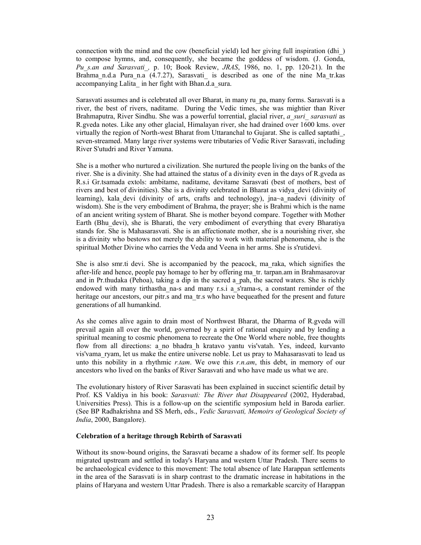connection with the mind and the cow (beneficial yield) led her giving full inspiration (dhi\_) to compose hymns, and, consequently, she became the goddess of wisdom. (J. Gonda, Pu s.an and Sarasvati, p. 10; Book Review, JRAS, 1986, no. 1, pp. 120-21). In the Brahma n.d.a Pura\_n.a (4.7.27), Sarasvati\_ is described as one of the nine Ma\_tr.kas accompanying Lalita\_ in her fight with Bhan.d.a\_sura.

Sarasvati assumes and is celebrated all over Bharat, in many ru\_pa, many forms. Sarasvati is a river, the best of rivers, naditame. During the Vedic times, she was mightier than River Brahmaputra, River Sindhu. She was a powerful torrential, glacial river, a suri sarasvati as R.gveda notes. Like any other glacial, Himalayan river, she had drained over 1600 kms. over virtually the region of North-west Bharat from Uttaranchal to Gujarat. She is called saptathi\_, seven-streamed. Many large river systems were tributaries of Vedic River Sarasvati, including River S'utudri and River Yamuna.

She is a mother who nurtured a civilization. She nurtured the people living on the banks of the river. She is a divinity. She had attained the status of a divinity even in the days of R.gveda as R.s.i Gr.tsamada extols: ambitame, naditame, devitame Sarasvati (best of mothers, best of rivers and best of divinities). She is a divinity celebrated in Bharat as vidya\_devi (divinity of learning), kala devi (divinity of arts, crafts and technology), jna~a nadevi (divinity of wisdom). She is the very embodiment of Brahma, the prayer; she is Brahmi which is the name of an ancient writing system of Bharat. She is mother beyond compare. Together with Mother Earth (Bhu\_devi), she is Bharati, the very embodiment of everything that every Bharatiya stands for. She is Mahasarasvati. She is an affectionate mother, she is a nourishing river, she is a divinity who bestows not merely the ability to work with material phenomena, she is the spiritual Mother Divine who carries the Veda and Veena in her arms. She is s'rutidevi.

She is also smr.ti devi. She is accompanied by the peacock, ma\_raka, which signifies the after-life and hence, people pay homage to her by offering ma\_tr. tarpan.am in Brahmasarovar and in Pr.thudaka (Pehoa), taking a dip in the sacred a\_pah, the sacred waters. She is richly endowed with many tirthastha na-s and many r.s.i a s'rama-s, a constant reminder of the heritage our ancestors, our pitr.s and ma\_tr.s who have bequeathed for the present and future generations of all humankind.

As she comes alive again to drain most of Northwest Bharat, the Dharma of R.gveda will prevail again all over the world, governed by a spirit of rational enquiry and by lending a spiritual meaning to cosmic phenomena to recreate the One World where noble, free thoughts flow from all directions: a\_no bhadra\_h kratavo yantu vis'vatah. Yes, indeed, kurvanto vis'vama\_ryam, let us make the entire universe noble. Let us pray to Mahasarasvati to lead us unto this nobility in a rhythmic r.tam. We owe this r.n.am, this debt, in memory of our ancestors who lived on the banks of River Sarasvati and who have made us what we are.

The evolutionary history of River Sarasvati has been explained in succinct scientific detail by Prof. KS Valdiya in his book: Sarasvati: The River that Disappeared (2002, Hyderabad, Universities Press). This is a follow-up on the scientific symposium held in Baroda earlier. (See BP Radhakrishna and SS Merh, eds., Vedic Sarasvati, Memoirs of Geological Society of India, 2000, Bangalore).

#### Celebration of a heritage through Rebirth of Sarasvati

Without its snow-bound origins, the Sarasvati became a shadow of its former self. Its people migrated upstream and settled in today's Haryana and western Uttar Pradesh. There seems to be archaeological evidence to this movement: The total absence of late Harappan settlements in the area of the Sarasvati is in sharp contrast to the dramatic increase in habitations in the plains of Haryana and western Uttar Pradesh. There is also a remarkable scarcity of Harappan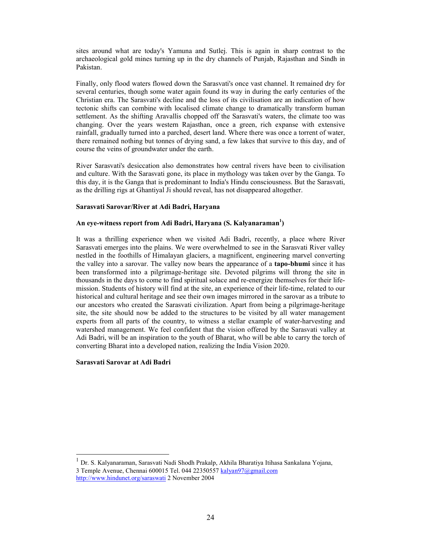sites around what are today's Yamuna and Sutlej. This is again in sharp contrast to the archaeological gold mines turning up in the dry channels of Punjab, Rajasthan and Sindh in Pakistan.

Finally, only flood waters flowed down the Sarasvati's once vast channel. It remained dry for several centuries, though some water again found its way in during the early centuries of the Christian era. The Sarasvati's decline and the loss of its civilisation are an indication of how tectonic shifts can combine with localised climate change to dramatically transform human settlement. As the shifting Aravallis chopped off the Sarasvati's waters, the climate too was changing. Over the years western Rajasthan, once a green, rich expanse with extensive rainfall, gradually turned into a parched, desert land. Where there was once a torrent of water, there remained nothing but tonnes of drying sand, a few lakes that survive to this day, and of course the veins of groundwater under the earth.

River Sarasvati's desiccation also demonstrates how central rivers have been to civilisation and culture. With the Sarasvati gone, its place in mythology was taken over by the Ganga. To this day, it is the Ganga that is predominant to India's Hindu consciousness. But the Sarasvati, as the drilling rigs at Ghantiyal Ji should reveal, has not disappeared altogether.

#### Sarasvati Sarovar/River at Adi Badri, Haryana

# An eye-witness report from Adi Badri, Haryana (S. Kalyanaraman<sup>1</sup>)

It was a thrilling experience when we visited Adi Badri, recently, a place where River Sarasvati emerges into the plains. We were overwhelmed to see in the Sarasvati River valley nestled in the foothills of Himalayan glaciers, a magnificent, engineering marvel converting the valley into a sarovar. The valley now bears the appearance of a tapo-bhumi since it has been transformed into a pilgrimage-heritage site. Devoted pilgrims will throng the site in thousands in the days to come to find spiritual solace and re-energize themselves for their lifemission. Students of history will find at the site, an experience of their life-time, related to our historical and cultural heritage and see their own images mirrored in the sarovar as a tribute to our ancestors who created the Sarasvati civilization. Apart from being a pilgrimage-heritage site, the site should now be added to the structures to be visited by all water management experts from all parts of the country, to witness a stellar example of water-harvesting and watershed management. We feel confident that the vision offered by the Sarasvati valley at Adi Badri, will be an inspiration to the youth of Bharat, who will be able to carry the torch of converting Bharat into a developed nation, realizing the India Vision 2020.

#### Sarasvati Sarovar at Adi Badri

 $\overline{a}$ 

1 Dr. S. Kalyanaraman, Sarasvati Nadi Shodh Prakalp, Akhila Bharatiya Itihasa Sankalana Yojana, 3 Temple Avenue, Chennai 600015 Tel. 044 22350557 kalyan97@gmail.com

http://www.hindunet.org/saraswati 2 November 2004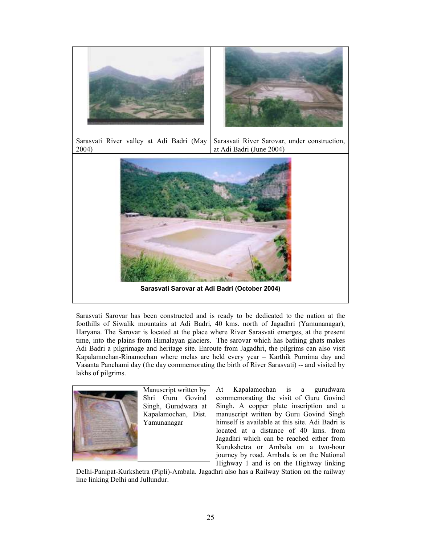

Sarasvati River valley at Adi Badri (May 2004) Sarasvati River Sarovar, under construction, at Adi Badri (June 2004)



Sarasvati Sarovar has been constructed and is ready to be dedicated to the nation at the foothills of Siwalik mountains at Adi Badri, 40 kms. north of Jagadhri (Yamunanagar), Haryana. The Sarovar is located at the place where River Sarasvati emerges, at the present time, into the plains from Himalayan glaciers. The sarovar which has bathing ghats makes Adi Badri a pilgrimage and heritage site. Enroute from Jagadhri, the pilgrims can also visit Kapalamochan-Rinamochan where melas are held every year – Karthik Purnima day and Vasanta Panchami day (the day commemorating the birth of River Sarasvati) -- and visited by lakhs of pilgrims.



Manuscript written by Shri Guru Govind Singh, Gurudwara at Kapalamochan, Dist. Yamunanagar

At Kapalamochan is a gurudwara commemorating the visit of Guru Govind Singh. A copper plate inscription and a manuscript written by Guru Govind Singh himself is available at this site. Adi Badri is located at a distance of 40 kms. from Jagadhri which can be reached either from Kurukshetra or Ambala on a two-hour journey by road. Ambala is on the National Highway 1 and is on the Highway linking

Delhi-Panipat-Kurkshetra (Pipli)-Ambala. Jagadhri also has a Railway Station on the railway line linking Delhi and Jullundur.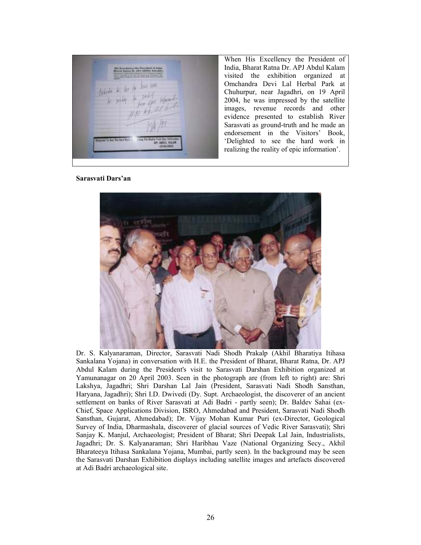When His Excellency the President of India, Bharat Ratna Dr. APJ Abdul Kalam visited the exhibition organized at Omchandra Devi Lal Herbal Park at Chuhurpur, near Jagadhri, on 19 April 2004, he was impressed by the satellite images, revenue records and other evidence presented to establish River Sarasvati as ground-truth and he made an endorsement in the Visitors' Book, 'Delighted to see the hard work in realizing the reality of epic information'.

Sarasvati Dars'an



Dr. S. Kalyanaraman, Director, Sarasvati Nadi Shodh Prakalp (Akhil Bharatiya Itihasa Sankalana Yojana) in conversation with H.E. the President of Bharat, Bharat Ratna, Dr. APJ Abdul Kalam during the President's visit to Sarasvati Darshan Exhibition organized at Yamunanagar on 20 April 2003. Seen in the photograph are (from left to right) are: Shri Lakshya, Jagadhri; Shri Darshan Lal Jain (President, Sarasvati Nadi Shodh Sansthan, Haryana, Jagadhri); Shri I.D. Dwivedi (Dy. Supt. Archaeologist, the discoverer of an ancient settlement on banks of River Sarasvati at Adi Badri - partly seen); Dr. Baldev Sahai (ex-Chief, Space Applications Division, ISRO, Ahmedabad and President, Sarasvati Nadi Shodh Sansthan, Gujarat, Ahmedabad); Dr. Vijay Mohan Kumar Puri (ex-Director, Geological Survey of India, Dharmashala, discoverer of glacial sources of Vedic River Sarasvati); Shri Sanjay K. Manjul, Archaeologist; President of Bharat; Shri Deepak Lal Jain, Industrialists, Jagadhri; Dr. S. Kalyanaraman; Shri Haribhau Vaze (National Organizing Secy., Akhil Bharateeya Itihasa Sankalana Yojana, Mumbai, partly seen). In the background may be seen the Sarasvati Darshan Exhibition displays including satellite images and artefacts discovered at Adi Badri archaeological site.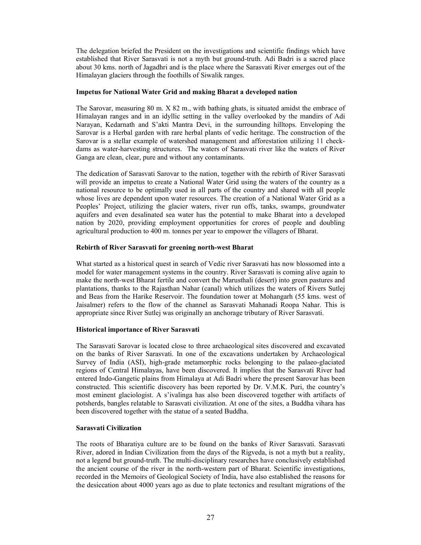The delegation briefed the President on the investigations and scientific findings which have established that River Sarasvati is not a myth but ground-truth. Adi Badri is a sacred place about 30 kms. north of Jagadhri and is the place where the Sarasvati River emerges out of the Himalayan glaciers through the foothills of Siwalik ranges.

#### Impetus for National Water Grid and making Bharat a developed nation

The Sarovar, measuring 80 m. X 82 m., with bathing ghats, is situated amidst the embrace of Himalayan ranges and in an idyllic setting in the valley overlooked by the mandirs of Adi Narayan, Kedarnath and S'akti Mantra Devi, in the surrounding hilltops. Enveloping the Sarovar is a Herbal garden with rare herbal plants of vedic heritage. The construction of the Sarovar is a stellar example of watershed management and afforestation utilizing 11 checkdams as water-harvesting structures. The waters of Sarasvati river like the waters of River Ganga are clean, clear, pure and without any contaminants.

The dedication of Sarasvati Sarovar to the nation, together with the rebirth of River Sarasvati will provide an impetus to create a National Water Grid using the waters of the country as a national resource to be optimally used in all parts of the country and shared with all people whose lives are dependent upon water resources. The creation of a National Water Grid as a Peoples' Project, utilizing the glacier waters, river run offs, tanks, swamps, groundwater aquifers and even desalinated sea water has the potential to make Bharat into a developed nation by 2020, providing employment opportunities for crores of people and doubling agricultural production to 400 m. tonnes per year to empower the villagers of Bharat.

# Rebirth of River Sarasvati for greening north-west Bharat

What started as a historical quest in search of Vedic river Sarasvati has now blossomed into a model for water management systems in the country. River Sarasvati is coming alive again to make the north-west Bharat fertile and convert the Marusthali (desert) into green pastures and plantations, thanks to the Rajasthan Nahar (canal) which utilizes the waters of Rivers Sutlej and Beas from the Harike Reservoir. The foundation tower at Mohangarh (55 kms. west of Jaisalmer) refers to the flow of the channel as Sarasvati Mahanadi Roopa Nahar. This is appropriate since River Sutlej was originally an anchorage tributary of River Sarasvati.

# Historical importance of River Sarasvati

The Sarasvati Sarovar is located close to three archaeological sites discovered and excavated on the banks of River Sarasvati. In one of the excavations undertaken by Archaeological Survey of India (ASI), high-grade metamorphic rocks belonging to the palaeo-glaciated regions of Central Himalayas, have been discovered. It implies that the Sarasvati River had entered Indo-Gangetic plains from Himalaya at Adi Badri where the present Sarovar has been constructed. This scientific discovery has been reported by Dr. V.M.K. Puri, the country's most eminent glaciologist. A s'ivalinga has also been discovered together with artifacts of potsherds, bangles relatable to Sarasvati civilization. At one of the sites, a Buddha vihara has been discovered together with the statue of a seated Buddha.

#### Sarasvati Civilization

The roots of Bharatiya culture are to be found on the banks of River Sarasvati. Sarasvati River, adored in Indian Civilization from the days of the Rigveda, is not a myth but a reality, not a legend but ground-truth. The multi-disciplinary researches have conclusively established the ancient course of the river in the north-western part of Bharat. Scientific investigations, recorded in the Memoirs of Geological Society of India, have also established the reasons for the desiccation about 4000 years ago as due to plate tectonics and resultant migrations of the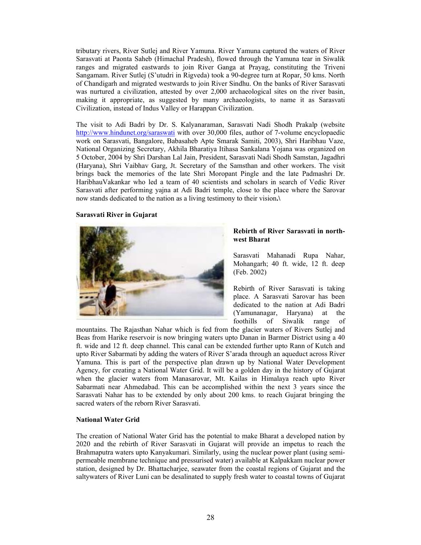tributary rivers, River Sutlej and River Yamuna. River Yamuna captured the waters of River Sarasvati at Paonta Saheb (Himachal Pradesh), flowed through the Yamuna tear in Siwalik ranges and migrated eastwards to join River Ganga at Prayag, constituting the Triveni Sangamam. River Sutlej (S'utudri in Rigveda) took a 90-degree turn at Ropar, 50 kms. North of Chandigarh and migrated westwards to join River Sindhu. On the banks of River Sarasvati was nurtured a civilization, attested by over 2,000 archaeological sites on the river basin, making it appropriate, as suggested by many archaeologists, to name it as Sarasvati Civilization, instead of Indus Valley or Harappan Civilization.

The visit to Adi Badri by Dr. S. Kalyanaraman, Sarasvati Nadi Shodh Prakalp (website http://www.hindunet.org/saraswati with over 30,000 files, author of 7-volume encyclopaedic work on Sarasvati, Bangalore, Babasaheb Apte Smarak Samiti, 2003), Shri Haribhau Vaze, National Organizing Secretary, Akhila Bharatiya Itihasa Sankalana Yojana was organized on 5 October, 2004 by Shri Darshan Lal Jain, President, Sarasvati Nadi Shodh Samstan, Jagadhri (Haryana), Shri Vaibhav Garg, Jt. Secretary of the Samsthan and other workers. The visit brings back the memories of the late Shri Moropant Pingle and the late Padmashri Dr. HaribhauVakankar who led a team of 40 scientists and scholars in search of Vedic River Sarasvati after performing yajna at Adi Badri temple, close to the place where the Sarovar now stands dedicated to the nation as a living testimony to their vision.\

#### Sarasvati River in Gujarat



# Rebirth of River Sarasvati in northwest Bharat

Sarasvati Mahanadi Rupa Nahar, Mohangarh; 40 ft. wide, 12 ft. deep (Feb. 2002)

Rebirth of River Sarasvati is taking place. A Sarasvati Sarovar has been dedicated to the nation at Adi Badri (Yamunanagar, Haryana) at the foothills of Siwalik range of

mountains. The Rajasthan Nahar which is fed from the glacier waters of Rivers Sutlej and Beas from Harike reservoir is now bringing waters upto Danan in Barmer District using a 40 ft. wide and 12 ft. deep channel. This canal can be extended further upto Rann of Kutch and upto River Sabarmati by adding the waters of River S'arada through an aqueduct across River Yamuna. This is part of the perspective plan drawn up by National Water Development Agency, for creating a National Water Grid. It will be a golden day in the history of Gujarat when the glacier waters from Manasarovar, Mt. Kailas in Himalaya reach upto River Sabarmati near Ahmedabad. This can be accomplished within the next 3 years since the Sarasvati Nahar has to be extended by only about 200 kms. to reach Gujarat bringing the sacred waters of the reborn River Sarasvati.

#### National Water Grid

The creation of National Water Grid has the potential to make Bharat a developed nation by 2020 and the rebirth of River Sarasvati in Gujarat will provide an impetus to reach the Brahmaputra waters upto Kanyakumari. Similarly, using the nuclear power plant (using semipermeable membrane technique and pressurised water) available at Kalpakkam nuclear power station, designed by Dr. Bhattacharjee, seawater from the coastal regions of Gujarat and the saltywaters of River Luni can be desalinated to supply fresh water to coastal towns of Gujarat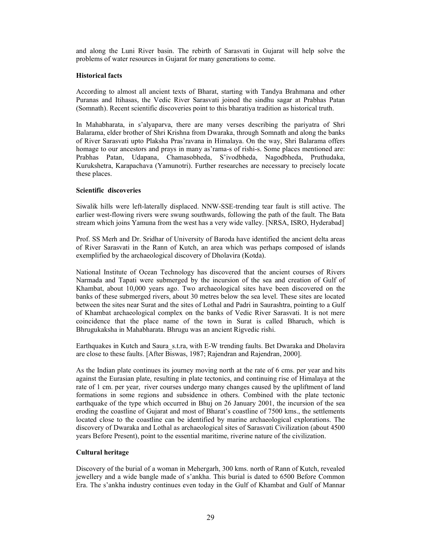and along the Luni River basin. The rebirth of Sarasvati in Gujarat will help solve the problems of water resources in Gujarat for many generations to come.

# Historical facts

According to almost all ancient texts of Bharat, starting with Tandya Brahmana and other Puranas and Itihasas, the Vedic River Sarasvati joined the sindhu sagar at Prabhas Patan (Somnath). Recent scientific discoveries point to this bharatiya tradition as historical truth.

In Mahabharata, in s'alyaparva, there are many verses describing the pariyatra of Shri Balarama, elder brother of Shri Krishna from Dwaraka, through Somnath and along the banks of River Sarasvati upto Plaksha Pras'ravana in Himalaya. On the way, Shri Balarama offers homage to our ancestors and prays in many as'rama-s of rishi-s. Some places mentioned are: Prabhas Patan, Udapana, Chamasobheda, S'ivodbheda, Nagodbheda, Pruthudaka, Kurukshetra, Karapachava (Yamunotri). Further researches are necessary to precisely locate these places.

# Scientific discoveries

Siwalik hills were left-laterally displaced. NNW-SSE-trending tear fault is still active. The earlier west-flowing rivers were swung southwards, following the path of the fault. The Bata stream which joins Yamuna from the west has a very wide valley. [NRSA, ISRO, Hyderabad]

Prof. SS Merh and Dr. Sridhar of University of Baroda have identified the ancient delta areas of River Sarasvati in the Rann of Kutch, an area which was perhaps composed of islands exemplified by the archaeological discovery of Dholavira (Kotda).

National Institute of Ocean Technology has discovered that the ancient courses of Rivers Narmada and Tapati were submerged by the incursion of the sea and creation of Gulf of Khambat, about 10,000 years ago. Two archaeological sites have been discovered on the banks of these submerged rivers, about 30 metres below the sea level. These sites are located between the sites near Surat and the sites of Lothal and Padri in Saurashtra, pointing to a Gulf of Khambat archaeological complex on the banks of Vedic River Sarasvati. It is not mere coincidence that the place name of the town in Surat is called Bharuch, which is Bhrugukaksha in Mahabharata. Bhrugu was an ancient Rigvedic rishi.

Earthquakes in Kutch and Saura\_s.t.ra, with E-W trending faults. Bet Dwaraka and Dholavira are close to these faults. [After Biswas, 1987; Rajendran and Rajendran, 2000].

As the Indian plate continues its journey moving north at the rate of 6 cms. per year and hits against the Eurasian plate, resulting in plate tectonics, and continuing rise of Himalaya at the rate of 1 cm. per year, river courses undergo many changes caused by the upliftment of land formations in some regions and subsidence in others. Combined with the plate tectonic earthquake of the type which occurred in Bhuj on 26 January 2001, the incursion of the sea eroding the coastline of Gujarat and most of Bharat's coastline of 7500 kms., the settlements located close to the coastline can be identified by marine archaeological explorations. The discovery of Dwaraka and Lothal as archaeological sites of Sarasvati Civilization (about 4500 years Before Present), point to the essential maritime, riverine nature of the civilization.

# Cultural heritage

Discovery of the burial of a woman in Mehergarh, 300 kms. north of Rann of Kutch, revealed jewellery and a wide bangle made of s'ankha. This burial is dated to 6500 Before Common Era. The s'ankha industry continues even today in the Gulf of Khambat and Gulf of Mannar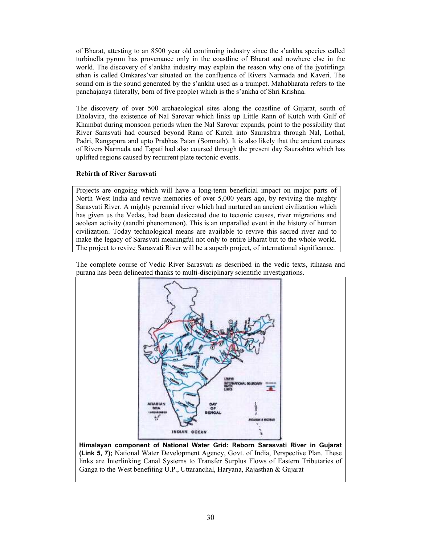of Bharat, attesting to an 8500 year old continuing industry since the s'ankha species called turbinella pyrum has provenance only in the coastline of Bharat and nowhere else in the world. The discovery of s'ankha industry may explain the reason why one of the jyotirlinga sthan is called Omkares'var situated on the confluence of Rivers Narmada and Kaveri. The sound om is the sound generated by the s'ankha used as a trumpet. Mahabharata refers to the panchajanya (literally, born of five people) which is the s'ankha of Shri Krishna.

The discovery of over 500 archaeological sites along the coastline of Gujarat, south of Dholavira, the existence of Nal Sarovar which links up Little Rann of Kutch with Gulf of Khambat during monsoon periods when the Nal Sarovar expands, point to the possibility that River Sarasvati had coursed beyond Rann of Kutch into Saurashtra through Nal, Lothal, Padri, Rangapura and upto Prabhas Patan (Somnath). It is also likely that the ancient courses of Rivers Narmada and Tapati had also coursed through the present day Saurashtra which has uplifted regions caused by recurrent plate tectonic events.

# Rebirth of River Sarasvati

Projects are ongoing which will have a long-term beneficial impact on major parts of North West India and revive memories of over 5,000 years ago, by reviving the mighty Sarasvati River. A mighty perennial river which had nurtured an ancient civilization which has given us the Vedas, had been desiccated due to tectonic causes, river migrations and aeolean activity (aandhi phenomenon). This is an unparalled event in the history of human civilization. Today technological means are available to revive this sacred river and to make the legacy of Sarasvati meaningful not only to entire Bharat but to the whole world. The project to revive Sarasvati River will be a superb project, of international significance.



The complete course of Vedic River Sarasvati as described in the vedic texts, itihaasa and purana has been delineated thanks to multi-disciplinary scientific investigations.

Himalayan component of National Water Grid: Reborn Sarasvati River in Gujarat (Link 5, 7); National Water Development Agency, Govt. of India, Perspective Plan. These links are Interlinking Canal Systems to Transfer Surplus Flows of Eastern Tributaries of Ganga to the West benefiting U.P., Uttaranchal, Haryana, Rajasthan & Gujarat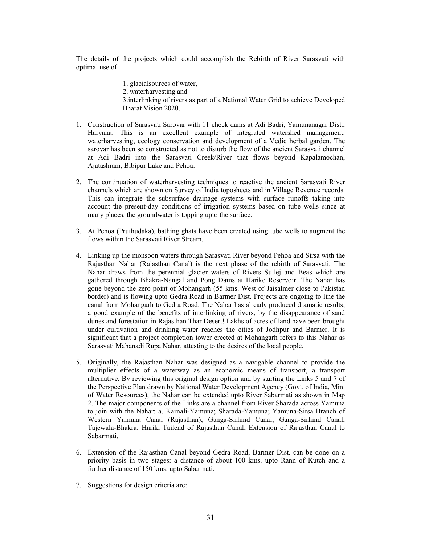The details of the projects which could accomplish the Rebirth of River Sarasvati with optimal use of

- 1. glacialsources of water,
- 2. waterharvesting and
- 3.interlinking of rivers as part of a National Water Grid to achieve Developed Bharat Vision 2020.
- 1. Construction of Sarasvati Sarovar with 11 check dams at Adi Badri, Yamunanagar Dist., Haryana. This is an excellent example of integrated watershed management: waterharvesting, ecology conservation and development of a Vedic herbal garden. The sarovar has been so constructed as not to disturb the flow of the ancient Sarasvati channel at Adi Badri into the Sarasvati Creek/River that flows beyond Kapalamochan, Ajatashram, Bibipur Lake and Pehoa.
- 2. The continuation of waterharvesting techniques to reactive the ancient Sarasvati River channels which are shown on Survey of India toposheets and in Village Revenue records. This can integrate the subsurface drainage systems with surface runoffs taking into account the present-day conditions of irrigation systems based on tube wells since at many places, the groundwater is topping upto the surface.
- 3. At Pehoa (Pruthudaka), bathing ghats have been created using tube wells to augment the flows within the Sarasvati River Stream.
- 4. Linking up the monsoon waters through Sarasvati River beyond Pehoa and Sirsa with the Rajasthan Nahar (Rajasthan Canal) is the next phase of the rebirth of Sarasvati. The Nahar draws from the perennial glacier waters of Rivers Sutlej and Beas which are gathered through Bhakra-Nangal and Pong Dams at Harike Reservoir. The Nahar has gone beyond the zero point of Mohangarh (55 kms. West of Jaisalmer close to Pakistan border) and is flowing upto Gedra Road in Barmer Dist. Projects are ongoing to line the canal from Mohangarh to Gedra Road. The Nahar has already produced dramatic results; a good example of the benefits of interlinking of rivers, by the disappearance of sand dunes and forestation in Rajasthan Thar Desert! Lakhs of acres of land have been brought under cultivation and drinking water reaches the cities of Jodhpur and Barmer. It is significant that a project completion tower erected at Mohangarh refers to this Nahar as Sarasvati Mahanadi Rupa Nahar, attesting to the desires of the local people.
- 5. Originally, the Rajasthan Nahar was designed as a navigable channel to provide the multiplier effects of a waterway as an economic means of transport, a transport alternative. By reviewing this original design option and by starting the Links 5 and 7 of the Perspective Plan drawn by National Water Development Agency (Govt. of India, Min. of Water Resources), the Nahar can be extended upto River Sabarmati as shown in Map 2. The major components of the Links are a channel from River Sharada across Yamuna to join with the Nahar: a. Karnali-Yamuna; Sharada-Yamuna; Yamuna-Sirsa Branch of Western Yamuna Canal (Rajasthan); Ganga-Sirhind Canal; Ganga-Sirhind Canal; Tajewala-Bhakra; Hariki Tailend of Rajasthan Canal; Extension of Rajasthan Canal to Sabarmati.
- 6. Extension of the Rajasthan Canal beyond Gedra Road, Barmer Dist. can be done on a priority basis in two stages: a distance of about 100 kms. upto Rann of Kutch and a further distance of 150 kms. upto Sabarmati.
- 7. Suggestions for design criteria are: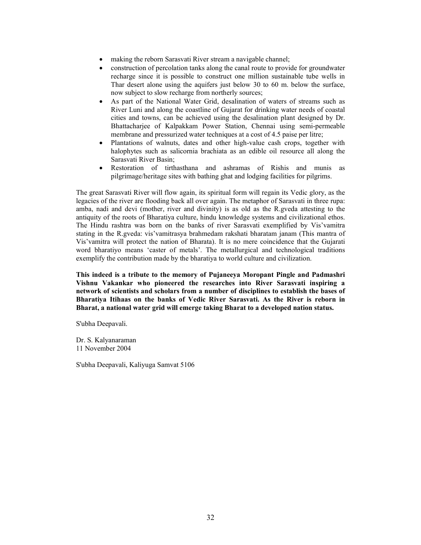- making the reborn Sarasvati River stream a navigable channel;
- construction of percolation tanks along the canal route to provide for groundwater recharge since it is possible to construct one million sustainable tube wells in Thar desert alone using the aquifers just below 30 to 60 m. below the surface, now subject to slow recharge from northerly sources;
- As part of the National Water Grid, desalination of waters of streams such as River Luni and along the coastline of Gujarat for drinking water needs of coastal cities and towns, can be achieved using the desalination plant designed by Dr. Bhattacharjee of Kalpakkam Power Station, Chennai using semi-permeable membrane and pressurized water techniques at a cost of 4.5 paise per litre;
- Plantations of walnuts, dates and other high-value cash crops, together with halophytes such as salicornia brachiata as an edible oil resource all along the Sarasvati River Basin;
- Restoration of tirthasthana and ashramas of Rishis and munis as pilgrimage/heritage sites with bathing ghat and lodging facilities for pilgrims.

The great Sarasvati River will flow again, its spiritual form will regain its Vedic glory, as the legacies of the river are flooding back all over again. The metaphor of Sarasvati in three rupa: amba, nadi and devi (mother, river and divinity) is as old as the R.gveda attesting to the antiquity of the roots of Bharatiya culture, hindu knowledge systems and civilizational ethos. The Hindu rashtra was born on the banks of river Sarasvati exemplified by Vis'vamitra stating in the R.gveda: vis'vamitrasya brahmedam rakshati bharatam janam (This mantra of Vis'vamitra will protect the nation of Bharata). It is no mere coincidence that the Gujarati word bharatiyo means 'caster of metals'. The metallurgical and technological traditions exemplify the contribution made by the bharatiya to world culture and civilization.

This indeed is a tribute to the memory of Pujaneeya Moropant Pingle and Padmashri Vishnu Vakankar who pioneered the researches into River Sarasvati inspiring a network of scientists and scholars from a number of disciplines to establish the bases of Bharatiya Itihaas on the banks of Vedic River Sarasvati. As the River is reborn in Bharat, a national water grid will emerge taking Bharat to a developed nation status.

S'ubha Deepavali.

Dr. S. Kalyanaraman 11 November 2004

S'ubha Deepavali, Kaliyuga Samvat 5106